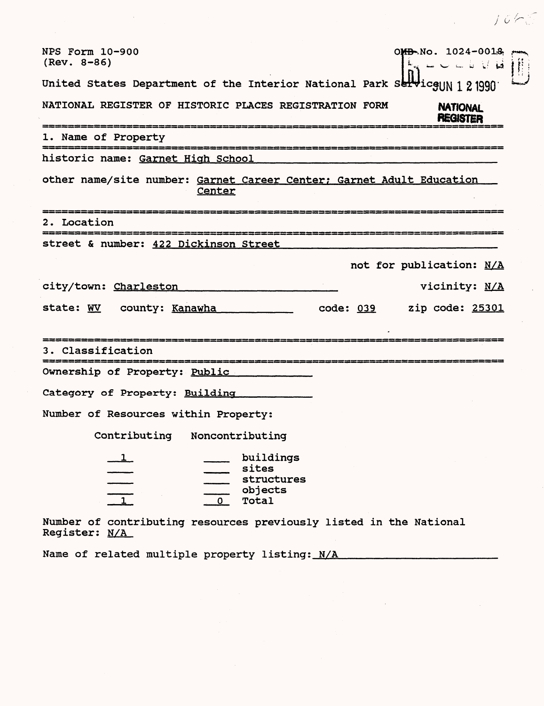| $76k^2$                                                                                                                                                                                                                                                                                                                                                                                                                                                                                                                                                                                                                                                              |
|----------------------------------------------------------------------------------------------------------------------------------------------------------------------------------------------------------------------------------------------------------------------------------------------------------------------------------------------------------------------------------------------------------------------------------------------------------------------------------------------------------------------------------------------------------------------------------------------------------------------------------------------------------------------|
| OMB No. 1024-0018<br>NPS Form 10-900<br>$(Rev. 8-86)$<br>$\mathbb{B}_6 \hookrightarrow \mathbb{C} \hookrightarrow \mathbb{C} \times \mathbb{R}$                                                                                                                                                                                                                                                                                                                                                                                                                                                                                                                      |
| United States Department of the Interior National Park Serviceun 1 2 1990                                                                                                                                                                                                                                                                                                                                                                                                                                                                                                                                                                                            |
| NATIONAL REGISTER OF HISTORIC PLACES REGISTRATION FORM<br><b>NATIONAL</b><br><b>REGISTER</b>                                                                                                                                                                                                                                                                                                                                                                                                                                                                                                                                                                         |
| 1. Name of Property                                                                                                                                                                                                                                                                                                                                                                                                                                                                                                                                                                                                                                                  |
| historic name: Garnet High School                                                                                                                                                                                                                                                                                                                                                                                                                                                                                                                                                                                                                                    |
| other name/site number: Garnet Career Center; Garnet Adult Education<br>Center                                                                                                                                                                                                                                                                                                                                                                                                                                                                                                                                                                                       |
| 2. Location                                                                                                                                                                                                                                                                                                                                                                                                                                                                                                                                                                                                                                                          |
| street & number: 422 Dickinson Street                                                                                                                                                                                                                                                                                                                                                                                                                                                                                                                                                                                                                                |
| not for publication: N/A                                                                                                                                                                                                                                                                                                                                                                                                                                                                                                                                                                                                                                             |
| city/town: Charleston<br>vicinity: N/A                                                                                                                                                                                                                                                                                                                                                                                                                                                                                                                                                                                                                               |
| state: WV county: Kanawha<br>code: 039 zip code: 25301                                                                                                                                                                                                                                                                                                                                                                                                                                                                                                                                                                                                               |
| 3. Classification                                                                                                                                                                                                                                                                                                                                                                                                                                                                                                                                                                                                                                                    |
| Ownership of Property: Public                                                                                                                                                                                                                                                                                                                                                                                                                                                                                                                                                                                                                                        |
| Category of Property: Building                                                                                                                                                                                                                                                                                                                                                                                                                                                                                                                                                                                                                                       |
| Number of Resources within Property:                                                                                                                                                                                                                                                                                                                                                                                                                                                                                                                                                                                                                                 |
| Contributing<br>Noncontributing                                                                                                                                                                                                                                                                                                                                                                                                                                                                                                                                                                                                                                      |
| buildings<br>$\perp$<br>$\frac{\qquad \qquad }{\qquad \qquad }{\qquad \qquad }{\qquad \qquad }{\qquad \qquad }{\qquad \qquad }{\qquad \qquad }{\qquad \qquad }{\qquad \qquad }{\qquad \qquad }{\qquad \qquad }{\qquad \qquad }{\qquad \qquad }{\qquad \qquad }{\qquad \qquad }{\qquad \qquad }{\qquad \qquad }{\qquad \qquad }{\qquad \qquad }{\qquad \qquad }{\qquad \qquad }{\qquad \qquad }{\qquad \qquad }{\qquad \qquad }{\qquad \qquad }{\qquad \qquad }{\qquad \qquad }{\qquad \qquad }{\qquad \qquad }{\qquad \qquad }{\qquad \qquad }{\$<br>sites<br>structures<br>objects<br>0 Total<br>Number of contributing resources previously listed in the National |

Register: N/A

Name of related multiple property listing: N/A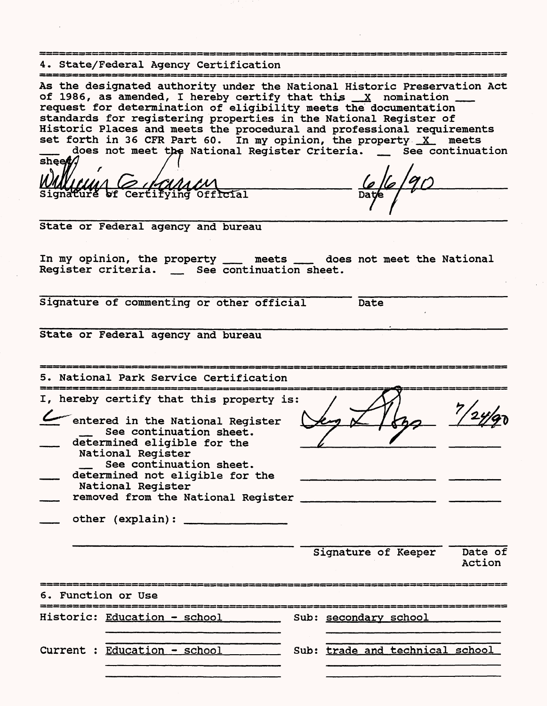4. State/Federal Agency Certification As the designated authority under the National Historic Preservation Act of 1986, as amended, I hereby certify that this  $\frac{X}{X}$  nomination request for determination of eligibility meets the documentation standards for registering properties in the National Register of Historic Places and meets the procedural and professional requirements set forth in 36 CFR Part 60. In my opinion, the property  $X$  meets does not meet the National Register Criteria. \_ See continuation<br>sheet/ WMM/CMA COMMAN<br>Signature of Certifying Official State or Federal agency and bureau In my opinion, the property \_\_\_\_ meets \_\_\_\_ does not meet the National<br>Register criteria. \_\_\_ See continuation sheet. Signature of commenting or other official Date State or Federal agency and bureau 5. National Park Service Certification I, hereby certify that this property is entered in the National Register See continuation sheet. determined eligible for the National Register See continuation sheet. determined not eligible for the National Register removed from the National Register other (explain): Signature of Keeper Date of Action 6. Function or Use Historic: Education - school Sub: secondary school Current : Education - school \_\_\_\_\_\_\_\_ Sub: trade and technical school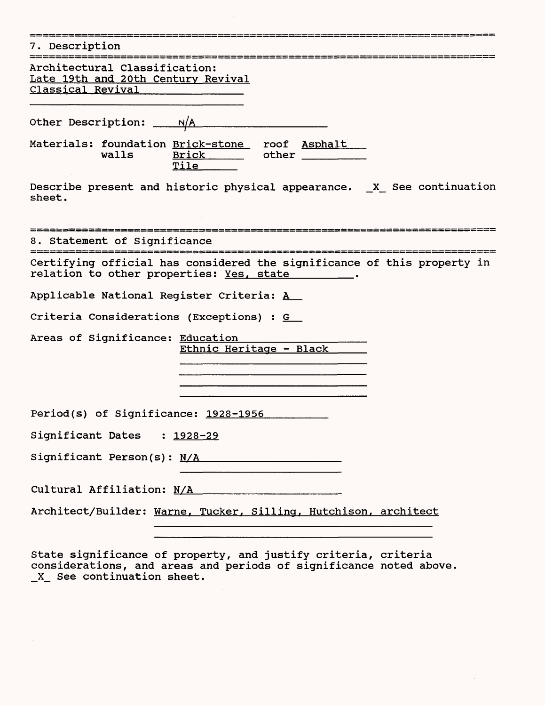| 7. Description                                                                                                                                                                      |
|-------------------------------------------------------------------------------------------------------------------------------------------------------------------------------------|
| Architectural Classification:<br>Late 19th and 20th Century Revival<br>Classical Revival Districts                                                                                  |
| Other Description: $N/A$                                                                                                                                                            |
| Materials: foundation Brick-stone roof Asphalt<br>Brick other<br>walls<br>Tile____                                                                                                  |
| Describe present and historic physical appearance. X See continuation<br>sheet.                                                                                                     |
| 8. Statement of Significance                                                                                                                                                        |
| Certifying official has considered the significance of this property in<br>relation to other properties: Yes, state _______.                                                        |
| Applicable National Register Criteria: A                                                                                                                                            |
| Criteria Considerations (Exceptions) : G                                                                                                                                            |
| Areas of Significance: Education<br>Ethnic Heritage - Black<br><u> 1980 - Jan Stein Stein Stein Stein Stein Stein Stein Stein Stein Stein Stein Stein Stein Stein Stein Stein S</u> |
| Period(s) of Significance: 1928-1956                                                                                                                                                |
| Significant Dates : 1928-29                                                                                                                                                         |
| Significant Person(s): N/A                                                                                                                                                          |
|                                                                                                                                                                                     |
| Architect/Builder: Warne, Tucker, Silling, Hutchison, architect                                                                                                                     |
| State significance of property, and justify criteria, criteria<br>considerations, and areas and periods of significance noted above.                                                |

**X\_ See continuation sheet.**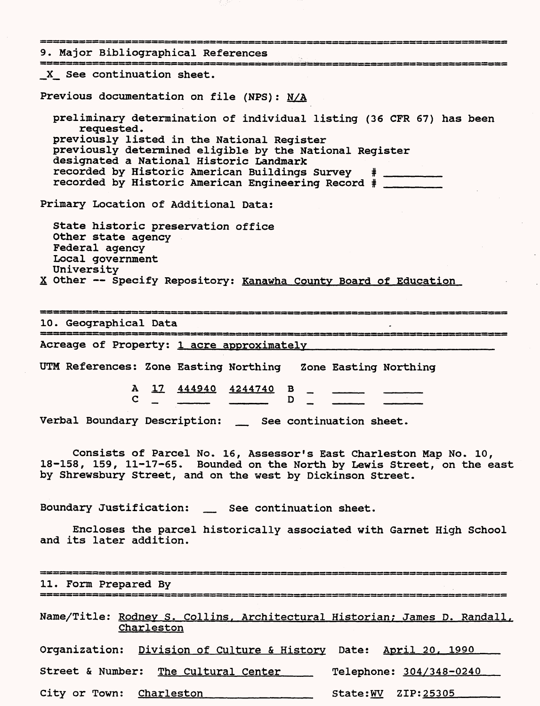9. Major Bibliographical References \_X\_\_ See continuation sheet. Previous documentation on file (NPS): N/A preliminary determination of individual listing (36 CFR 67) has been requested. previously listed in the National Register previously determined eligible by the National Register designated a National Historic Landmark recorded by Historic American Buildings Survey # \_\_\_\_\_\_\_ recorded by Historic American Engineering Record # \_\_\_\_\_\_\_ Primary Location of Additional Data: State historic preservation office Other state agency Federal agency Local government University X Other -- Specify Repository: Kanawha County Board of Education 10. Geographical Data Acreage of Property: 1 acre approximately UTM References: Zone Easting Northing Zone Easting Northing A 17 444940 4244740 B  $\qquad \qquad \Box$ Verbal Boundary Description: \_ See continuation sheet. Consists of Parcel No. 16, Assessor's East Charleston Map No. 10, 18-158, 159, 11-17-65. Bounded on the North by Lewis Street, on the east by Shrewsbury Street, and on the west by Dickinson Street. Boundary Justification: \_\_ See continuation sheet. Encloses the parcel historically associated with Garnet High School and its later addition. ▄▖▄▖▅▖▅▖▄▖▅▖▅▖▅▖▅▖▅▖▅▖▅▖▅▖▄▖▄▖▄▖▄▖▅▖▅▖▅▖▅▖▅▖▅▖▄ 11. Form Prepared By Name/Title: Rodney S. Collins, Architectural Historian; James D. Randall, Charleston Organization: Division of Culture & History Date: April 20. 1990 Street & Number: The Cultural Center Telephone: 304/348-0240 City or Town: Charleston State:WV ZIP: 25305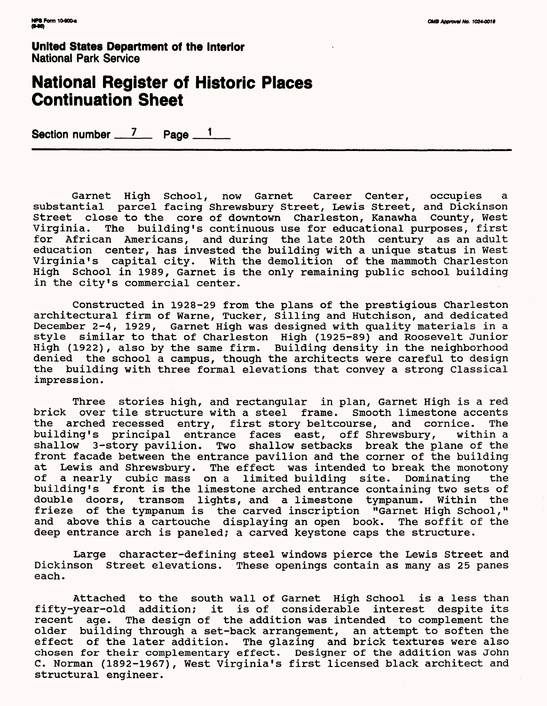# **National Register of Historic Places Continuation Sheet**

Section number  $\frac{7}{2}$  Page  $\frac{1}{2}$ 

Garnet High School, now Garnet Career Center, occupies a substantial parcel facing Shrewsbury Street, Lewis Street, and Dickinson Street close to the core of downtown Charleston, Kanawha County, West Virginia. The building's continuous use for educational purposes, first for African Americans, and during the late 20th century as an adult education center, has invested the building with a unique status in West Virginia's capital city. With the demolition of the mammoth Charleston High School in 1989, Garnet is the only remaining public school building in the city's commercial center.

Constructed in 1928-29 from the plans of the prestigious Charleston architectural firm of Warne, Tucker, Silling and Hutchison, and dedicated December 2-4, 1929, Garnet High was designed with quality materials in a style similar to that of Charleston High (1925-89) and Roosevelt Junior High (1922), also by the same firm. Building density in the neighborhood denied the school a campus, though the architects were careful to design the building with three formal elevations that convey a strong Classical impression.

Three stories high, and rectangular in plan, Garnet High is a red brick over tile structure with a steel frame. Smooth limestone accents the arched recessed entry, first story beltcourse, and cornice. The building's principal entrance faces east, off Shrewsbury, within a shallow 3-story pavilion. Two shallow setbacks break the plane of the front facade between the entrance pavilion and the corner of the building at Lewis and Shrewsbury. The effect was intended to break the monotony of a nearly cubic mass on a limited building site. Dominating the building's front is the limestone arched entrance containing two sets of double doors, transom lights, and a limestone tympanum. Within the frieze of the tympanum is the carved inscription "Garnet High School," and above this a cartouche displaying an open book. The soffit of the deep entrance arch is paneled; a carved keystone caps the structure.

Large character-defining steel windows pierce the Lewis Street and Dickinson Street elevations. These openings contain as many as 25 panes each.

Attached to the south wall of Garnet High School is a less than fifty-year-old addition; it is of considerable interest despite its recent age. The design of the addition was intended to complement the older building through a set-back arrangement, an attempt to soften the effect of the later addition. The glazing and brick textures were also chosen for their complementary effect. Designer of the addition was John C. Norman (1892-1967), West Virginia's first licensed black architect and structural engineer.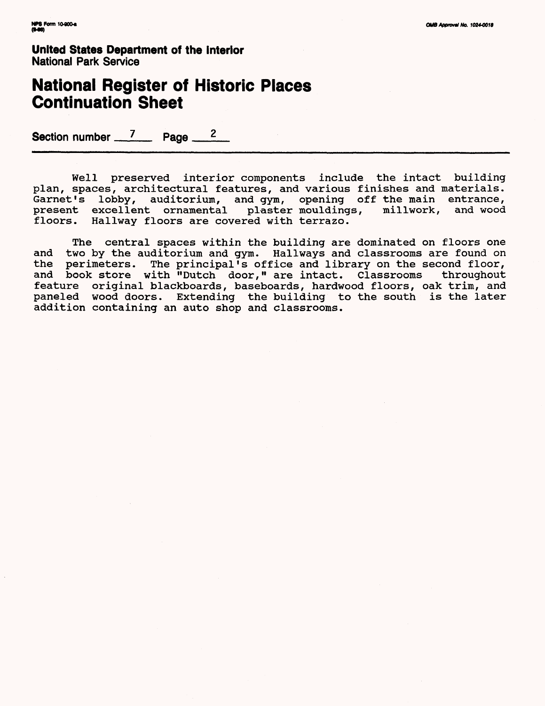# **National Register of Historic Places Continuation Sheet**

Section number  $\frac{7}{2}$  Page  $\frac{2}{2}$ 

Well preserved interior components include the intact building plan, spaces, architectural features, and various finishes and materials. Garnet's lobby, auditorium, and gym, opening off the main entrance, present excellent ornamental plaster mouldings, millwork, and wood floors. Hallway floors are covered with terrazo.

The central spaces within the building are dominated on floors one and two by the auditorium and gym. Hallways and classrooms are found on the perimeters. The principal's office and library on the second floor, The principal's office and library on the second floor, and book store with "Dutch door," are intact. Classrooms throughout feature original blackboards, baseboards, hardwood floors, oak trim, and paneled wood doors. Extending the building to the south is the later addition containing an auto shop and classrooms.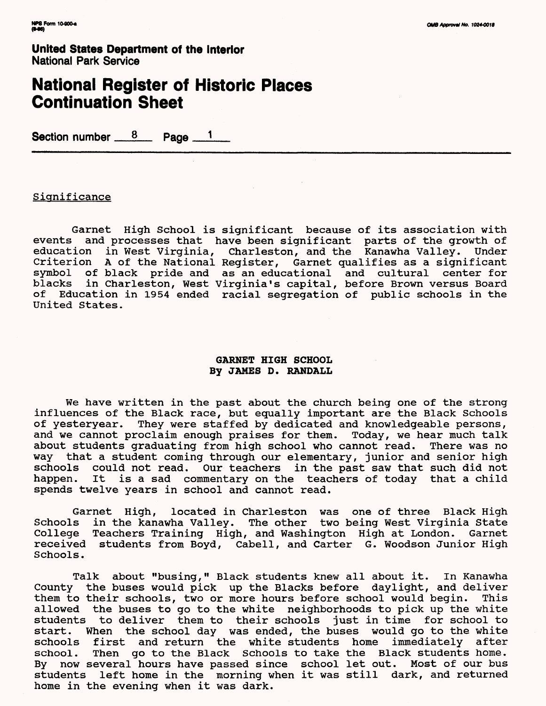### **National Register of Historic Places Continuation Sheet**

Section number  $8$  Page  $1$ 

#### **Significance**

Garnet High School is significant because of its association with events and processes that have been significant parts of the growth of education in West Virginia, Charleston, and the Kanawha Valley. Under Criterion A of the National Register, Garnet qualifies as a significant symbol of black pride and as an educational and cultural center for<br>blacks in Charleston. West Virginia's capital. before Brown versus Board in Charleston, West Virginia's capital, before Brown versus Board of Education in 1954 ended racial segregation of public schools in the United States.

#### **GARNET HIGH SCHOOL By JAMES D. RANDALL**

We have written in the past about the church being one of the strong influences of the Black race, but equally important are the Black Schools of yesteryear. They were staffed by dedicated and knowledgeable persons, and we cannot proclaim enough praises for them. Today, we hear much talk about students graduating from high school who cannot read. There was no way that a student coming through our elementary, junior and senior high schools could not read. Our teachers in the past saw that such did not happen. It is a sad commentary on the teachers of today that a child spends twelve years in school and cannot read.

Garnet High, located in Charleston was one of three Black High Schools in the kanawha Valley. The other two being West Virginia State College Teachers Training High, and Washington High at London. Garnet received students from Boyd, Cabell, and Carter G. Woodson Junior High Schools.

Talk about "busing," Black students knew all about it. In Kanawha County the buses would pick up the Blacks before daylight, and deliver them to their schools, two or more hours before school would begin. This allowed the buses to go to the white neighborhoods to pick up the white students to deliver them to their schools just in time for school to start. When the school day was ended, the buses would go to the white schools first and return the white students home immediately after school. Then go to the Black Schools to take the Black students home. By now several hours have passed since school let out. Most of our bus students left home in the morning when it was still dark, and returned home in the evening when it was dark.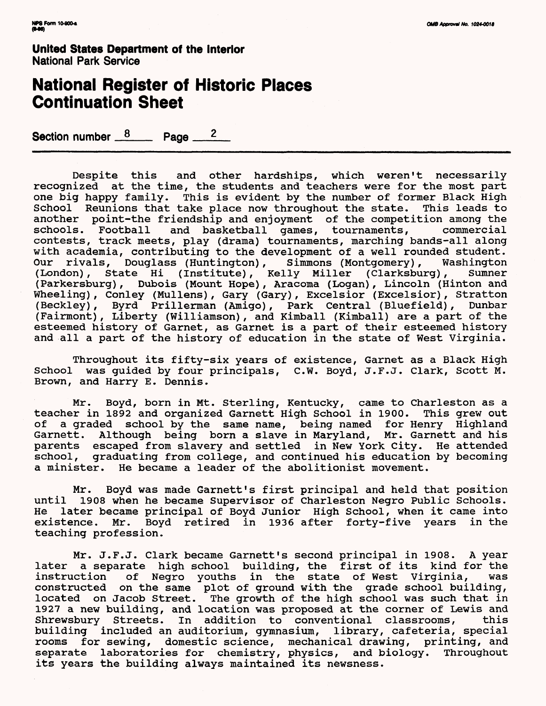# **National Register of Historic Places Continuation Sheet**

Section number  $\frac{8}{2}$  Page  $\frac{2}{2}$ 

Despite this and other hardships, which weren't necessarily recognized at the time, the students and teachers were for the most part one big happy family. This is evident by the number of former Black High School Reunions that take place now throughout the state. This leads to another point-the friendship and enjoyment of the competition among the schools. Football and basketball games, tournaments, commercial and basketball games, tournaments, contests, track meets, play (drama) tournaments, marching bands-all along with academia, contributing to the development of a well rounded student.<br>Our rivals, Douglass (Huntington), Simmons (Montgomery), Washington Our rivals, Douglass (Huntington), Simmons (Montgomery), (London), State Hi (Institute), Kelly Miller (Clarksburg), Sumner (Parkersburg), Dubois (Mount Hope), Aracoma (Logan), Lincoln (Hinton and Wheeling), Conley (Mullens), Gary (Gary), Excelsior (Excelsior), Stratton (Beckley), Byrd Prillerman (Amigo), Park Central (Bluefield), Dunbar (Fairmont), Liberty (Williamson), and Kimball (Kimball) are a part of the esteemed history of Garnet, as Garnet is a part of their esteemed history and all a part of the history of education in the state of West Virginia.

Throughout its fifty-six years of existence, Garnet as a Black High School was guided by four principals, C.W. Boyd, J.F.J. Clark, Scott M. Brown, and Harry E. Dennis.

Mr. Boyd, born in Mt. Sterling, Kentucky, came to Charleston as a teacher in 1892 and organized Garnett High School in 1900. This grew out of a graded school by the same name, being named for Henry Highland Garnett. Although being born a slave in Maryland, Mr. Garnett and his parents escaped from slavery and settled in New York City. He attended school, graduating from college, and continued his education by becoming a minister. He became a leader of the abolitionist movement.

Mr. Boyd was made Garnett's first principal and held that position until 1908 when he became Supervisor of Charleston Negro Public Schools. He later became principal of Boyd Junior High School, when it came into existence. Mr. Boyd retired in 1936 after forty-five years in the teaching profession.

Mr. J.F.J. Clark became Garnett's second principal in 1908. A year later a separate high school building, the first of its kind for the of Negro youths in the state of West Virginia, was constructed on the same plot of ground with the grade school building, located on Jacob Street. The growth of the high school was such that in 1927 a new building, and location was proposed at the corner of Lewis and Shrewsbury Streets. In addition to conventional classrooms, this building included an auditorium, gymnasium, library, cafeteria, special rooms for sewing, domestic science, mechanical drawing, printing, and separate laboratories for chemistry, physics, and biology. Throughout its years the building always maintained its newsness.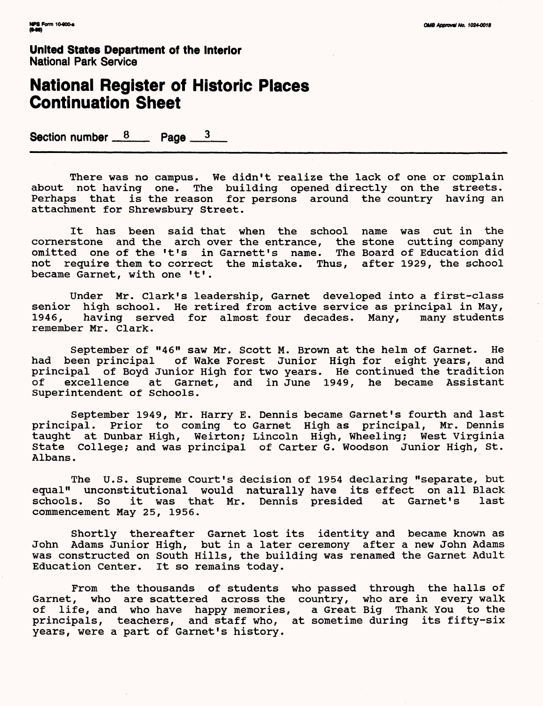# **National Register of Historic Places Continuation Sheet**

Section number  $\frac{8}{2}$  Page  $\frac{3}{2}$ 

There was no campus. We didn't realize the lack of one or complain about not having one. The building opened directly on the streets. Perhaps that is the reason for persons around the country having an attachment for Shrewsbury Street.

It has been said that when the school name was cut in the cornerstone and the arch over the entrance, the stone cutting company omitted one of the 't's in Garnett's name. The Board of Education did not require them to correct the mistake. Thus, after 1929, the school became Garnet, with one 't'.

Under Mr. Clark's leadership, Garnet developed into a first-class senior high school. He retired from active service as principal in May,<br>1946, having served for almost four decades. Many, many students having served for almost four decades. Many, remember Mr. Clark.

September of "46" saw Mr. Scott M. Brown at the helm of Garnet. He had been principal of Wake Forest Junior High for eight years, and principal of Boyd Junior High for two years. He continued the tradition<br>of excellence at Garnet, and in June 1949, he became Assistant excellence at Garnet, and in June 1949, he became Assistant Superintendent of Schools.

September 1949, Mr. Harry E. Dennis became Garnet's fourth and last principal. Prior to coming to Garnet High as principal, Mr. Dennis taught at Dunbar High, Weirton; Lincoln High, Wheeling; West Virginia State College; and was principal of Carter G. Woodson Junior High, St. Albans.

The U.S. Supreme Court's decision of 1954 declaring "separate, but equal" unconstitutional would naturally have its effect on all Black<br>schools. So it was that Mr. Dennis presided at Garnet's last schools. So it was that Mr. Dennis presided at Garnet's commencement May 25, 1956.

Shortly thereafter Garnet lost its identity and became known as John Adams Junior High, but in a later ceremony after a new John Adams was constructed on South Hills, the building was renamed the Garnet Adult Education Center. It so remains today.

From the thousands of students who passed through the halls of Garnet, who are scattered across the country, who are in every walk of life, and who have happy memories, a Great Big Thank You to the principals, teachers, and staff who, at sometime during its fifty-six years, were a part of Garnet's history.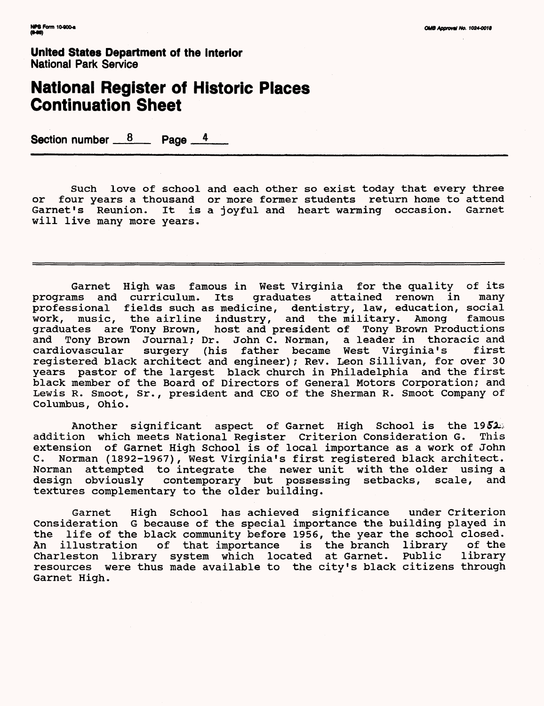## **National Register of Historic Places Continuation Sheet**

Section number  $8 \times 8$  Page  $4 \times 4$ 

Such love of school and each other so exist today that every three or four years a thousand or more former students return home to attend Garnet's Reunion. It is a joyful and heart warming occasion. Garnet will live many more years.

Garnet High was famous in West Virginia for the quality of its<br>ms and curriculum. Its graduates attained renown in many programs and curriculum. Its graduates attained renown in many professional fields such as medicine, dentistry, law, education, social work, music, the airline industry, and the military. Among famous graduates are Tony Brown, host and president of Tony Brown Productions and Tony Brown Journal; Dr. John C. Norman, a leader in thoracic and cardiovascular surgery (his father became West Virginia's first registered black architect and engineer) ; Rev. Leon Sillivan, for over 30 years pastor of the largest black church in Philadelphia and the first black member of the Board of Directors of General Motors Corporation; and Lewis R. Smoot, Sr., president and CEO of the Sherman R. Smoot Company of Columbus, Ohio.

Another significant aspect of Garnet High School is the 1952. addition which meets National Register Criterion Consideration G. This extension of Garnet High School is of local importance as a work of John C. Norman (1892-1967), West Virginia's first registered black architect. Norman attempted to integrate the newer unit with the older using a design obviously contemporary but possessing setbacks, scale, and textures complementary to the older building.

Garnet High School has achieved significance under Criterion Consideration G because of the special importance the building played in the life of the black community before 1956, the year the school closed.<br>An illustration of that importance is the branch library of the of that importance is the branch Charleston library system which located at Garnet. Public library resources were thus made available to the city's black citizens through Garnet High.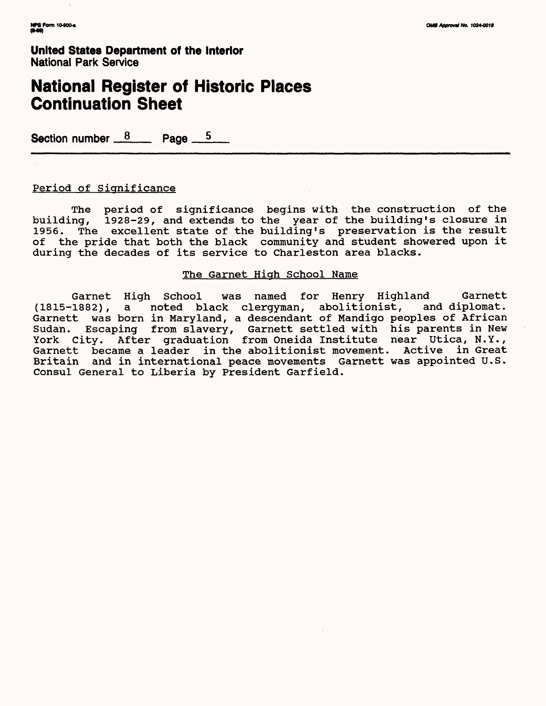# **National Register of Historic Places Continuation Sheet**

Section number  $8 \times 8$  Page  $5 \times 5$ 

#### Period of Significance

The period of significance begins with the construction of the building, 1928-29, and extends to the year of the building's closure in 1956. The excellent state of the building's preservation is the result of the pride that both the black community and student showered upon it during the decades of its service to Charleston area blacks.

#### The Garnet High School Name

Garnet High School was named for Henry Highland Garnett<br>(1815-1882), a noted black clergyman, abolitionist, and diplomat. a noted black clergyman, abolitionist, and diplomat. Garnett was born in Maryland, a descendant of Mandigo peoples of African Sudan. Escaping from slavery, Garnett settled with his parents in New York City. After graduation from Oneida Institute near Utica, N.Y., Garnett became a leader in the abolitionist movement. Active in Great Britain and in international peace movements Garnett was appointed U.S. Consul General to Liberia by President Garfield.